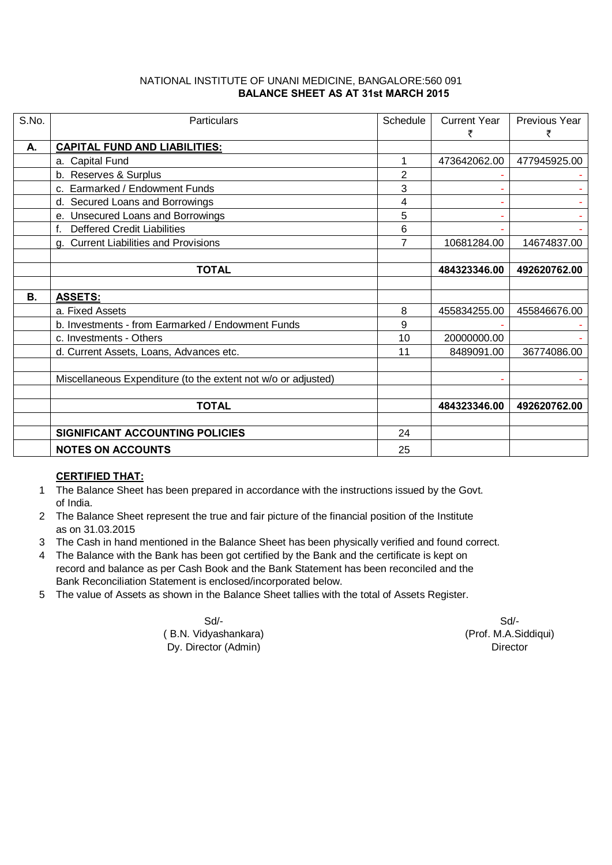## NATIONAL INSTITUTE OF UNANI MEDICINE, BANGALORE:560 091  **BALANCE SHEET AS AT 31st MARCH 2015**

| S.No.     | Particulars                                                   | Schedule | <b>Current Year</b><br>₹ | Previous Year<br>₹ |
|-----------|---------------------------------------------------------------|----------|--------------------------|--------------------|
| А.        | <b>CAPITAL FUND AND LIABILITIES:</b>                          |          |                          |                    |
|           | a. Capital Fund                                               | 1        | 473642062.00             | 477945925.00       |
|           | b. Reserves & Surplus                                         | 2        |                          |                    |
|           | c. Earmarked / Endowment Funds                                | 3        |                          |                    |
|           | d. Secured Loans and Borrowings                               | 4        |                          |                    |
|           | e. Unsecured Loans and Borrowings                             | 5        |                          |                    |
|           | f. Deffered Credit Liabilities                                | 6        |                          |                    |
|           | g. Current Liabilities and Provisions                         | 7        | 10681284.00              | 14674837.00        |
|           |                                                               |          |                          |                    |
|           | <b>TOTAL</b>                                                  |          | 484323346.00             | 492620762.00       |
|           |                                                               |          |                          |                    |
| <b>B.</b> | <b>ASSETS:</b>                                                |          |                          |                    |
|           | a. Fixed Assets                                               | 8        | 455834255.00             | 455846676.00       |
|           | b. Investments - from Earmarked / Endowment Funds             | 9        |                          |                    |
|           | c. Investments - Others                                       | 10       | 20000000.00              |                    |
|           | d. Current Assets, Loans, Advances etc.                       | 11       | 8489091.00               | 36774086.00        |
|           |                                                               |          |                          |                    |
|           | Miscellaneous Expenditure (to the extent not w/o or adjusted) |          |                          |                    |
|           |                                                               |          |                          |                    |
|           | <b>TOTAL</b>                                                  |          | 484323346.00             | 492620762.00       |
|           |                                                               |          |                          |                    |
|           | SIGNIFICANT ACCOUNTING POLICIES                               | 24       |                          |                    |
|           | <b>NOTES ON ACCOUNTS</b>                                      | 25       |                          |                    |

## **CERTIFIED THAT:**

- 1 The Balance Sheet has been prepared in accordance with the instructions issued by the Govt. of India.
- 2 The Balance Sheet represent the true and fair picture of the financial position of the Institute as on 31.03.2015
- 3 The Cash in hand mentioned in the Balance Sheet has been physically verified and found correct.
- 4 The Balance with the Bank has been got certified by the Bank and the certificate is kept on record and balance as per Cash Book and the Bank Statement has been reconciled and the Bank Reconciliation Statement is enclosed/incorporated below.
- 5 The value of Assets as shown in the Balance Sheet tallies with the total of Assets Register.

Sd/- Sd/- ( B.N. Vidyashankara) (Prof. M.A.Siddiqui) Dy. Director (Admin) Director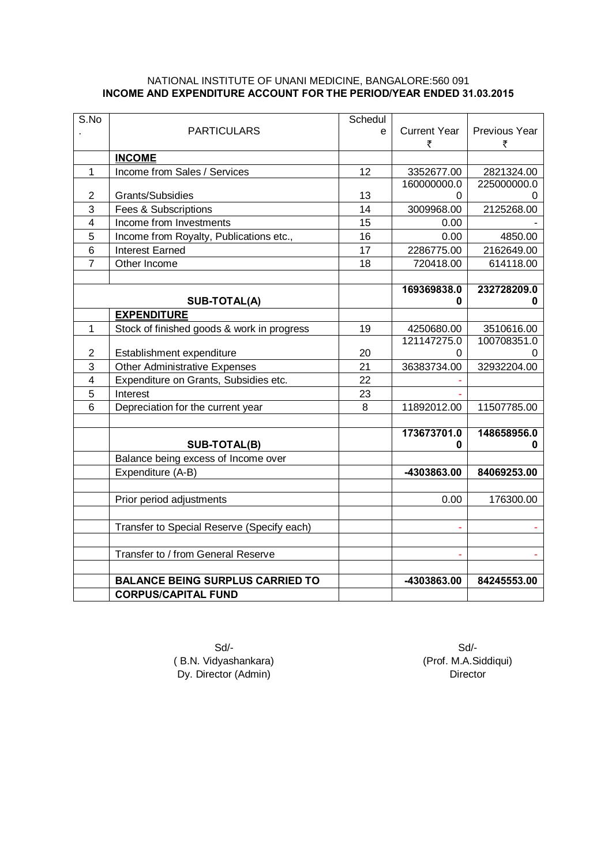## NATIONAL INSTITUTE OF UNANI MEDICINE, BANGALORE:560 091 **INCOME AND EXPENDITURE ACCOUNT FOR THE PERIOD/YEAR ENDED 31.03.2015**

| S.No           |                                            | Schedul |                     |               |
|----------------|--------------------------------------------|---------|---------------------|---------------|
|                | <b>PARTICULARS</b>                         | e       | <b>Current Year</b> | Previous Year |
|                |                                            |         | ₹                   | ₹             |
|                | <b>INCOME</b>                              |         |                     |               |
| $\mathbf{1}$   | Income from Sales / Services               | 12      | 3352677.00          | 2821324.00    |
|                |                                            |         | 160000000.0         | 225000000.0   |
| 2              | Grants/Subsidies                           | 13      | 0                   |               |
| 3              | Fees & Subscriptions                       | 14      | 3009968.00          | 2125268.00    |
| $\overline{4}$ | Income from Investments                    | 15      | 0.00                |               |
| 5              | Income from Royalty, Publications etc.,    | 16      | 0.00                | 4850.00       |
| 6              | <b>Interest Earned</b>                     | 17      | 2286775.00          | 2162649.00    |
| 7              | Other Income                               | 18      | 720418.00           | 614118.00     |
|                |                                            |         |                     |               |
|                |                                            |         | 169369838.0         | 232728209.0   |
|                | SUB-TOTAL(A)                               |         | 0                   | 0             |
|                | <b>EXPENDITURE</b>                         |         |                     |               |
| 1              | Stock of finished goods & work in progress | 19      | 4250680.00          | 3510616.00    |
|                |                                            |         | 121147275.0         | 100708351.0   |
| $\overline{2}$ | Establishment expenditure                  | 20      | 0                   |               |
| 3              | <b>Other Administrative Expenses</b>       | 21      | 36383734.00         | 32932204.00   |
| 4              | Expenditure on Grants, Subsidies etc.      | 22      |                     |               |
| 5              | Interest                                   | 23      |                     |               |
| 6              | Depreciation for the current year          | 8       | 11892012.00         | 11507785.00   |
|                |                                            |         |                     |               |
|                |                                            |         | 173673701.0         | 148658956.0   |
|                | SUB-TOTAL(B)                               |         | 0                   | 0             |
|                | Balance being excess of Income over        |         |                     |               |
|                | Expenditure (A-B)                          |         | -4303863.00         | 84069253.00   |
|                |                                            |         |                     |               |
|                | Prior period adjustments                   |         | 0.00                | 176300.00     |
|                |                                            |         |                     |               |
|                | Transfer to Special Reserve (Specify each) |         |                     |               |
|                |                                            |         |                     |               |
|                | Transfer to / from General Reserve         |         |                     |               |
|                |                                            |         |                     |               |
|                | <b>BALANCE BEING SURPLUS CARRIED TO</b>    |         | -4303863.00         | 84245553.00   |
|                | <b>CORPUS/CAPITAL FUND</b>                 |         |                     |               |

Sd/- Sd/- ( B.N. Vidyashankara) (Prof. M.A.Siddiqui)<br>Dy. Director (Admin) (Prof. M.A.Siddiqui) Dy. Director (Admin)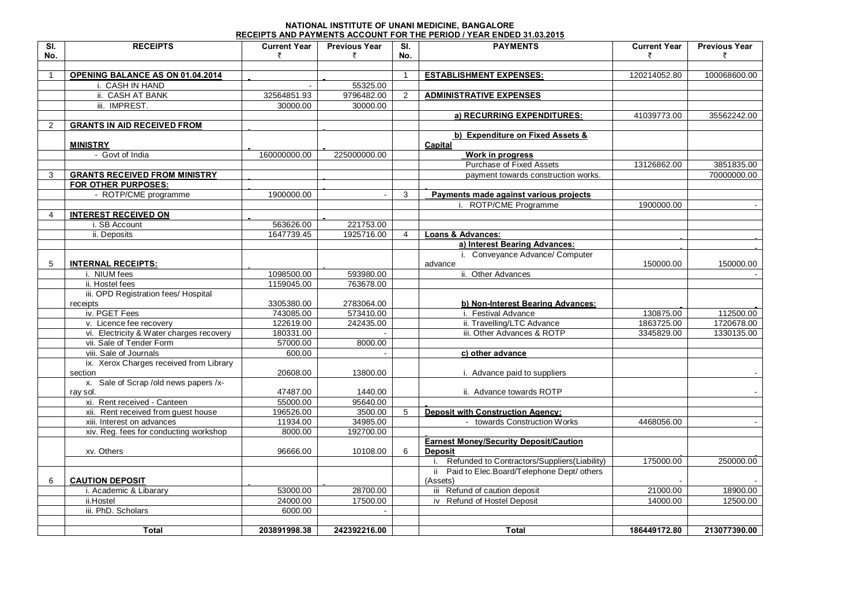## **NATIONAL INSTITUTE OF UNANI MEDICINE, BANGALORE RECEIPTS AND PAYMENTS ACCOUNT FOR THE PERIOD / YEAR ENDED 31.03.2015**

| $\overline{\mathbf{S}}$ | <b>RECEIPTS</b>                                     | <b>Current Year</b> | <b>Previous Year</b>   | SI.            | <b>PAYMENTS</b>                                                 | <b>Current Year</b> | <b>Previous Year</b> |
|-------------------------|-----------------------------------------------------|---------------------|------------------------|----------------|-----------------------------------------------------------------|---------------------|----------------------|
| No.                     |                                                     | ₹                   | ₹                      | No.            |                                                                 | ₹                   | ₹                    |
|                         |                                                     |                     |                        |                |                                                                 |                     |                      |
| $\mathbf{1}$            | OPENING BALANCE AS ON 01.04.2014<br>i. CASH IN HAND |                     |                        | $\mathbf{1}$   | <b>ESTABLISHMENT EXPENSES:</b>                                  | 120214052.80        | 100068600.00         |
|                         | ii. CASH AT BANK                                    | 32564851.93         | 55325.00<br>9796482.00 | $\overline{2}$ | <b>ADMINISTRATIVE EXPENSES</b>                                  |                     |                      |
|                         |                                                     |                     |                        |                |                                                                 |                     |                      |
|                         | iii. IMPREST.                                       | 30000.00            | 30000.00               |                |                                                                 |                     |                      |
|                         |                                                     |                     |                        |                | a) RECURRING EXPENDITURES:                                      | 41039773.00         | 35562242.00          |
| 2                       | <b>GRANTS IN AID RECEIVED FROM</b>                  |                     |                        |                |                                                                 |                     |                      |
|                         | <b>MINISTRY</b>                                     |                     |                        |                | b) Expenditure on Fixed Assets &<br>Capital                     |                     |                      |
|                         | - Govt of India                                     | 160000000.00        | 225000000.00           |                | Work in progress                                                |                     |                      |
|                         |                                                     |                     |                        |                | Purchase of Fixed Assets                                        | 13126862.00         | 3851835.00           |
| 3                       | <b>GRANTS RECEIVED FROM MINISTRY</b>                |                     |                        |                | payment towards construction works.                             |                     | 70000000.00          |
|                         | FOR OTHER PURPOSES:                                 |                     |                        |                |                                                                 |                     |                      |
|                         | - ROTP/CME programme                                | 1900000.00          |                        | 3              | Payments made against various projects                          |                     |                      |
|                         |                                                     |                     |                        |                | i. ROTP/CME Programme                                           | 1900000.00          |                      |
| $\overline{4}$          | <b>INTEREST RECEIVED ON</b>                         |                     |                        |                |                                                                 |                     |                      |
|                         | i. SB Account                                       | 563626.00           | 221753.00              |                |                                                                 |                     |                      |
|                         | ii. Deposits                                        | 1647739.45          | 1925716.00             | $\overline{4}$ | <b>Loans &amp; Advances:</b>                                    |                     |                      |
|                         |                                                     |                     |                        |                | a) Interest Bearing Advances:                                   |                     |                      |
|                         |                                                     |                     |                        |                | i. Conveyance Advance/ Computer                                 |                     |                      |
| 5                       | <b>INTERNAL RECEIPTS:</b>                           |                     |                        |                | advance                                                         | 150000.00           | 150000.00            |
|                         | i. NIUM fees                                        | 1098500.00          | 593980.00              |                | ii. Other Advances                                              |                     |                      |
|                         | ii. Hostel fees                                     | 1159045.00          | 763678.00              |                |                                                                 |                     |                      |
|                         | iii. OPD Registration fees/ Hospital                |                     |                        |                |                                                                 |                     |                      |
|                         | receipts                                            | 3305380.00          | 2783064.00             |                | b) Non-Interest Bearing Advances:                               |                     |                      |
|                         | iv. PGET Fees                                       | 743085.00           | 573410.00              |                | i. Festival Advance                                             | 130875.00           | 112500.00            |
|                         | v. Licence fee recovery                             | 122619.00           | 242435.00              |                | ii. Travelling/LTC Advance                                      | 1863725.00          | 1720678.00           |
|                         | vi. Electricity & Water charges recovery            | 180331.00           |                        |                | iii. Other Advances & ROTP                                      | 3345829.00          | 1330135.00           |
|                         | vii. Sale of Tender Form                            | 57000.00            | 8000.00                |                |                                                                 |                     |                      |
|                         | viii. Sale of Journals                              | 600.00              |                        |                | c) other advance                                                |                     |                      |
|                         | ix. Xerox Charges received from Library             |                     |                        |                |                                                                 |                     |                      |
|                         | section                                             | 20608.00            | 13800.00               |                | i. Advance paid to suppliers                                    |                     |                      |
|                         | x. Sale of Scrap /old news papers /x-               |                     |                        |                |                                                                 |                     |                      |
|                         | ray sol.                                            | 47487.00            | 1440.00                |                | ii. Advance towards ROTP                                        |                     |                      |
|                         | xi. Rent received - Canteen                         | 55000.00            | 95640.00               |                |                                                                 |                     |                      |
|                         | xii. Rent received from guest house                 | 196526.00           | 3500.00                | 5              | <b>Deposit with Construction Agency:</b>                        |                     |                      |
|                         | xiii. Interest on advances                          | 11934.00            | 34985.00               |                | - towards Construction Works                                    | 4468056.00          | $\blacksquare$       |
|                         | xiv. Reg. fees for conducting workshop              | 8000.00             | 192700.00              |                |                                                                 |                     |                      |
|                         | xv. Others                                          | 96666.00            | 10108.00               | 6              | <b>Earnest Money/Security Deposit/Caution</b><br><b>Deposit</b> |                     |                      |
|                         |                                                     |                     |                        |                | Refunded to Contractors/Suppliers(Liability)<br>i.              | 175000.00           | 250000.00            |
|                         |                                                     |                     |                        |                | ii Paid to Elec.Board/Telephone Dept/ others                    |                     |                      |
| 6                       | <b>CAUTION DEPOSIT</b>                              |                     |                        |                | (Assets)                                                        |                     |                      |
|                         | i. Academic & Libarary                              | 53000.00            | 28700.00               |                | iii Refund of caution deposit                                   | 21000.00            | 18900.00             |
|                         | ii.Hostel                                           | 24000.00            | 17500.00               |                | iv Refund of Hostel Deposit                                     | 14000.00            | 12500.00             |
|                         | iii. PhD. Scholars                                  | 6000.00             |                        |                |                                                                 |                     |                      |
|                         |                                                     |                     |                        |                |                                                                 |                     |                      |
|                         | <b>Total</b>                                        | 203891998.38        | 242392216.00           |                | Total                                                           | 186449172.80        | 213077390.00         |